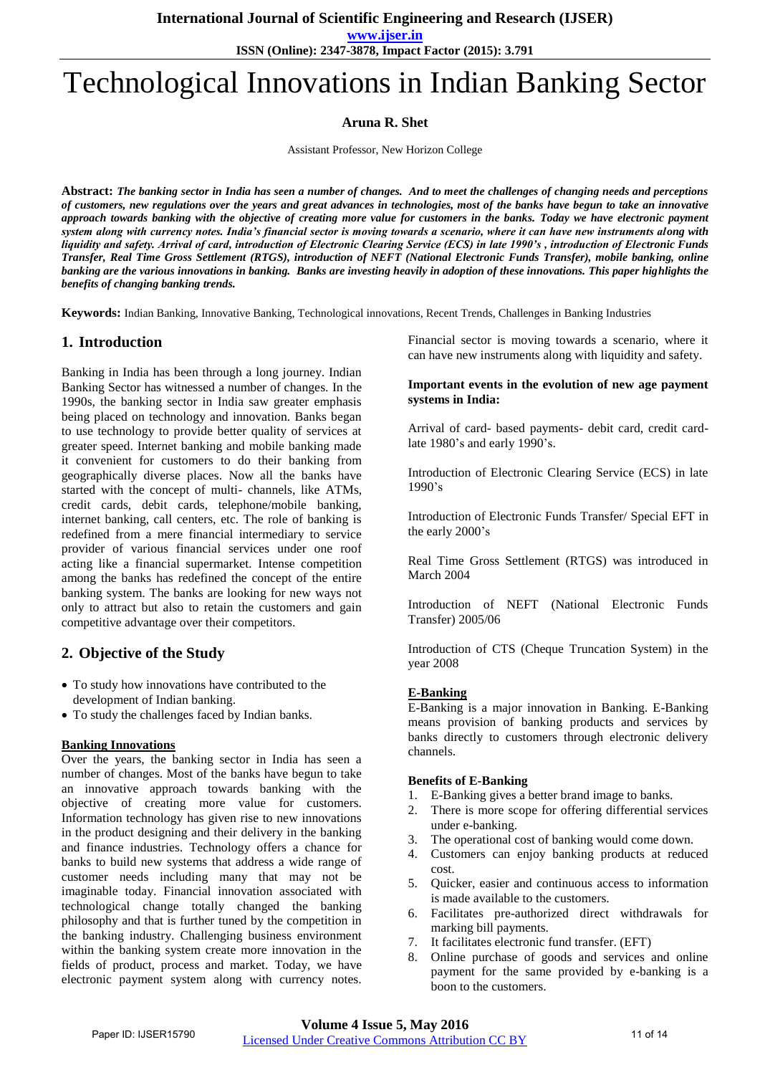**www.ijser.in**

**ISSN (Online): 2347-3878, Impact Factor (2015): 3.791**

# Technological Innovations in Indian Banking Sector

**Aruna R. Shet**

Assistant Professor, New Horizon College

**Abstract:** *The banking sector in India has seen a number of changes. And to meet the challenges of changing needs and perceptions of customers, new regulations over the years and great advances in technologies, most of the banks have begun to take an innovative approach towards banking with the objective of creating more value for customers in the banks. Today we have electronic payment system along with currency notes. India's financial sector is moving towards a scenario, where it can have new instruments along with liquidity and safety. Arrival of card, introduction of Electronic Clearing Service (ECS) in late 1990's , introduction of Electronic Funds Transfer, Real Time Gross Settlement (RTGS), introduction of NEFT (National Electronic Funds Transfer), mobile banking, online banking are the various innovations in banking. Banks are investing heavily in adoption of these innovations. This paper highlights the benefits of changing banking trends.* 

**Keywords:** Indian Banking, Innovative Banking, Technological innovations, Recent Trends, Challenges in Banking Industries

## **1. Introduction**

Banking in India has been through a long journey. Indian Banking Sector has witnessed a number of changes. In the 1990s, the banking sector in India saw greater emphasis being placed on technology and innovation. Banks began to use technology to provide better quality of services at greater speed. Internet banking and mobile banking made it convenient for customers to do their banking from geographically diverse places. Now all the banks have started with the concept of multi- channels, like ATMs, credit cards, debit cards, telephone/mobile banking, internet banking, call centers, etc. The role of banking is redefined from a mere financial intermediary to service provider of various financial services under one roof acting like a financial supermarket. Intense competition among the banks has redefined the concept of the entire banking system. The banks are looking for new ways not only to attract but also to retain the customers and gain competitive advantage over their competitors.

# **2. Objective of the Study**

- To study how innovations have contributed to the development of Indian banking.
- To study the challenges faced by Indian banks.

## **Banking Innovations**

Over the years, the banking sector in India has seen a number of changes. Most of the banks have begun to take an innovative approach towards banking with the objective of creating more value for customers. Information technology has given rise to new innovations in the product designing and their delivery in the banking and finance industries. Technology offers a chance for banks to build new systems that address a wide range of customer needs including many that may not be imaginable today. Financial innovation associated with technological change totally changed the banking philosophy and that is further tuned by the competition in the banking industry. Challenging business environment within the banking system create more innovation in the fields of product, process and market. Today, we have electronic payment system along with currency notes.

Financial sector is moving towards a scenario, where it can have new instruments along with liquidity and safety.

## **Important events in the evolution of new age payment systems in India:**

Arrival of card- based payments- debit card, credit cardlate 1980's and early  $1990$ 's.

Introduction of Electronic Clearing Service (ECS) in late  $1990's$ 

Introduction of Electronic Funds Transfer/ Special EFT in the early 2000's

Real Time Gross Settlement (RTGS) was introduced in March 2004

Introduction of NEFT (National Electronic Funds Transfer) 2005/06

Introduction of CTS (Cheque Truncation System) in the year 2008

## **E-Banking**

E-Banking is a major innovation in Banking. E-Banking means provision of banking products and services by banks directly to customers through electronic delivery channels.

## **Benefits of E-Banking**

- 1. E-Banking gives a better brand image to banks.
- 2. There is more scope for offering differential services under e-banking.
- 3. The operational cost of banking would come down.
- 4. Customers can enjoy banking products at reduced cost.
- 5. Quicker, easier and continuous access to information is made available to the customers.
- 6. Facilitates pre-authorized direct withdrawals for marking bill payments.
- 7. It facilitates electronic fund transfer. (EFT)
- 8. Online purchase of goods and services and online payment for the same provided by e-banking is a boon to the customers.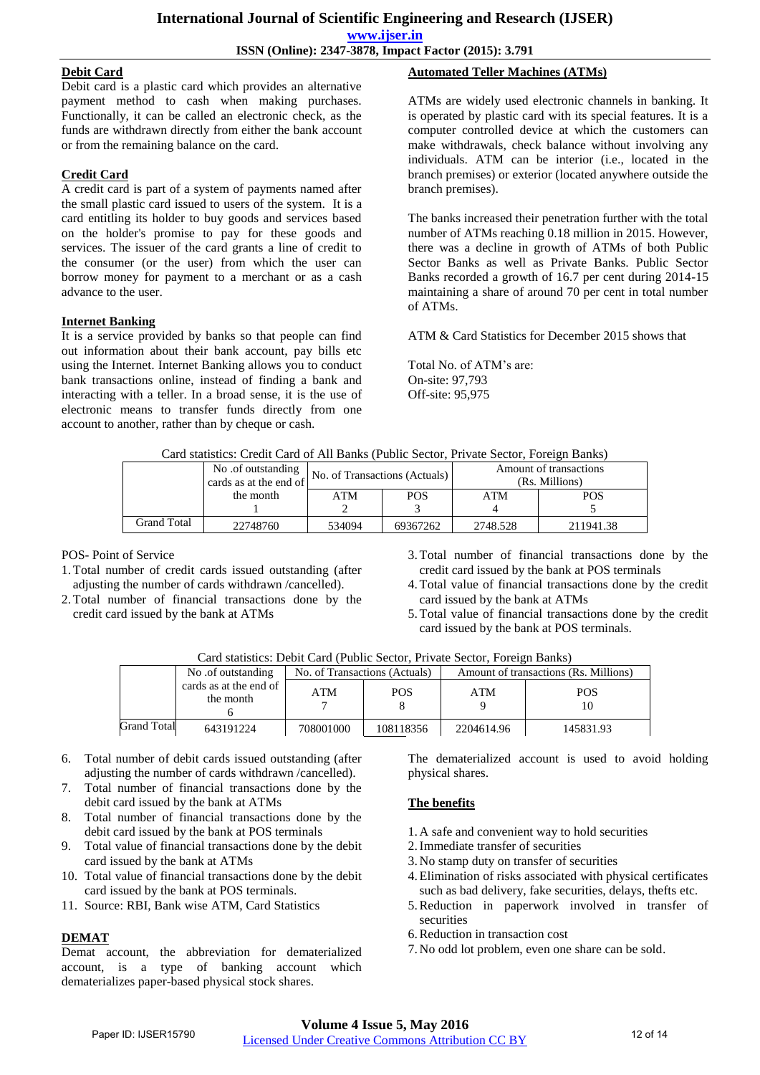**International Journal of Scientific Engineering and Research (IJSER) www.ijser.in ISSN (Online): 2347-3878, Impact Factor (2015): 3.791**

## **Debit Card**

Debit card is a plastic card which provides an alternative payment method to cash when making purchases. Functionally, it can be called an electronic check, as the funds are withdrawn directly from either the bank account or from the remaining balance on the card.

## **Credit Card**

A credit card is part of a system of payments named after the small plastic card issued to users of the system. It is a card entitling its holder to buy goods and services based on the holder's promise to pay for these goods and services. The issuer of the card grants a line of credit to the consumer (or the user) from which the user can borrow money for payment to a merchant or as a cash advance to the user.

## **Internet Banking**

It is a service provided by banks so that people can find out information about their bank account, pay bills etc using the Internet. Internet Banking allows you to conduct bank transactions online, instead of finding a bank and interacting with a teller. In a broad sense, it is the use of electronic means to transfer funds directly from one account to another, rather than by cheque or cash.

## **Automated Teller Machines (ATMs)**

ATMs are widely used electronic channels in banking. It is operated by plastic card with its special features. It is a computer controlled device at which the customers can make withdrawals, check balance without involving any individuals. ATM can be interior (i.e., located in the branch premises) or exterior (located anywhere outside the branch premises).

The banks increased their penetration further with the total number of ATMs reaching 0.18 million in 2015. However, there was a decline in growth of ATMs of both Public Sector Banks as well as Private Banks. Public Sector Banks recorded a growth of 16.7 per cent during 2014-15 maintaining a share of around 70 per cent in total number of ATMs.

ATM & Card Statistics for December 2015 shows that

Total No. of ATM"s are: On-site: 97,793 Off-site: 95,975

| Card statistics: Credit Card of All Banks (Public Sector, Private Sector, Foreign Banks) |  |  |  |  |
|------------------------------------------------------------------------------------------|--|--|--|--|
|                                                                                          |  |  |  |  |

| <u>Chine Changed: Cremit Chine Crimitis Hanno (rendite Deetor) rich meer Deetor, richte die Deetsche Deetsch</u> |                                             |                               |          |                                          |            |  |
|------------------------------------------------------------------------------------------------------------------|---------------------------------------------|-------------------------------|----------|------------------------------------------|------------|--|
|                                                                                                                  | No of outstanding<br>cards as at the end of | No. of Transactions (Actuals) |          | Amount of transactions<br>(Rs. Millions) |            |  |
|                                                                                                                  | the month                                   | ATM                           | POS      | ATM                                      | <b>POS</b> |  |
|                                                                                                                  |                                             |                               |          |                                          |            |  |
| <b>Grand Total</b>                                                                                               | 22748760                                    | 534094                        | 69367262 | 2748.528                                 | 211941.38  |  |

POS- Point of Service

- 1.Total number of credit cards issued outstanding (after adjusting the number of cards withdrawn /cancelled).
- 2.Total number of financial transactions done by the credit card issued by the bank at ATMs
- 3.Total number of financial transactions done by the credit card issued by the bank at POS terminals
- 4.Total value of financial transactions done by the credit card issued by the bank at ATMs
- 5.Total value of financial transactions done by the credit card issued by the bank at POS terminals.

| Card statistics: Debit Card (Public Sector, Private Sector, Foreign Banks) |  |  |
|----------------------------------------------------------------------------|--|--|
|                                                                            |  |  |

|             | No of outstanding                   | No. of Transactions (Actuals) |            | Amount of transactions (Rs. Millions) |                  |  |
|-------------|-------------------------------------|-------------------------------|------------|---------------------------------------|------------------|--|
|             | cards as at the end of<br>the month | ATM                           | <b>POS</b> | ATM                                   | <b>POS</b><br>10 |  |
| Grand Total | 643191224                           | 708001000                     | 108118356  | 2204614.96                            | 145831.93        |  |

- 6. Total number of debit cards issued outstanding (after adjusting the number of cards withdrawn /cancelled).
- 7. Total number of financial transactions done by the debit card issued by the bank at ATMs
- 8. Total number of financial transactions done by the debit card issued by the bank at POS terminals
- 9. Total value of financial transactions done by the debit card issued by the bank at ATMs
- 10. Total value of financial transactions done by the debit card issued by the bank at POS terminals.
- 11. Source: RBI, Bank wise ATM, Card Statistics

# **DEMAT**

Demat account, the abbreviation for dematerialized account, is a type of banking account which dematerializes paper-based physical stock shares.

The dematerialized account is used to avoid holding physical shares.

# **The benefits**

- 1. A safe and convenient way to hold securities
- 2.Immediate transfer of securities
- 3. No stamp duty on transfer of securities
- 4.Elimination of risks associated with physical certificates such as bad delivery, fake securities, delays, thefts etc.
- 5.Reduction in paperwork involved in transfer of securities
- 6.Reduction in transaction cost
- 7. No odd lot problem, even one share can be sold.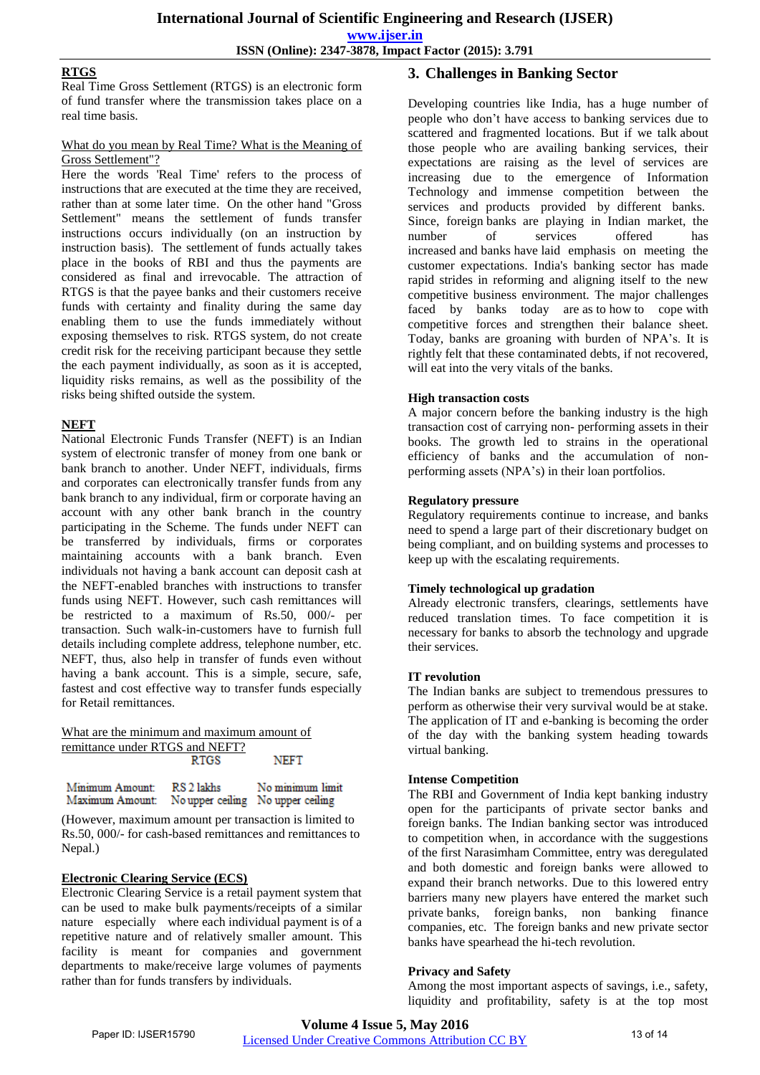**www.ijser.in**

**ISSN (Online): 2347-3878, Impact Factor (2015): 3.791**

## **RTGS**

Real Time Gross Settlement (RTGS) is an electronic form of fund transfer where the transmission takes place on a real time basis.

## What do you mean by Real Time? What is the Meaning of Gross Settlement"?

Here the words 'Real Time' refers to the process of instructions that are executed at the time they are received, rather than at some later time. On the other hand "Gross Settlement" means the settlement of funds transfer instructions occurs individually (on an instruction by instruction basis). The settlement of funds actually takes place in the books of RBI and thus the payments are considered as final and irrevocable. The attraction of RTGS is that the payee banks and their customers receive funds with certainty and finality during the same day enabling them to use the funds immediately without exposing themselves to risk. RTGS system, do not create credit risk for the receiving participant because they settle the each payment individually, as soon as it is accepted, liquidity risks remains, as well as the possibility of the risks being shifted outside the system.

## **NEFT**

National Electronic Funds Transfer (NEFT) is an Indian system of [electronic transfer of money](http://searchwinit.techtarget.com/definition/Electronic-Funds-Transfer) from one bank or bank branch to another. Under NEFT, individuals, firms and corporates can electronically transfer funds from any bank branch to any individual, firm or corporate having an account with any other bank branch in the country participating in the Scheme. The funds under NEFT can be transferred by individuals, firms or corporates maintaining accounts with a bank branch. Even individuals not having a bank account can deposit cash at the NEFT-enabled branches with instructions to transfer funds using NEFT. However, such cash remittances will be restricted to a maximum of Rs.50, 000/- per transaction. Such walk-in-customers have to furnish full details including complete address, telephone number, etc. NEFT, thus, also help in transfer of funds even without having a bank account. This is a simple, secure, safe, fastest and cost effective way to transfer funds especially for Retail remittances.

#### What are the minimum and maximum amount of remittance under RTGS and NEFT? **NEFT**

| Minimum Amount:                                   | RS 2 lakhs | No minimum limit |
|---------------------------------------------------|------------|------------------|
| Maximum Amount: No upper ceiling No upper ceiling |            |                  |

(However, maximum amount per transaction is limited to Rs.50, 000/- for cash-based remittances and remittances to Nepal.)

## **Electronic Clearing Service (ECS)**

Electronic Clearing Service is a retail payment system that can be used to make bulk payments/receipts of a similar nature especially where each individual payment is of a repetitive nature and of relatively smaller amount. This facility is meant for companies and government departments to make/receive large volumes of payments rather than for funds transfers by individuals.

## **3. Challenges in Banking Sector**

Developing countries like India, has a huge number of people who don"t have access to banking services due to scattered and fragmented locations. But if we talk about those people who are availing banking services, their expectations are raising as the level of services are increasing due to the emergence of Information Technology and immense competition between the services and products provided by different banks. Since, foreign banks are playing in Indian market, the number of services offered has increased and banks have laid emphasis on meeting the customer expectations. India's banking sector has made rapid strides in reforming and aligning itself to the new competitive business environment. The major challenges faced by banks today are as to how to cope with competitive forces and strengthen their balance sheet. Today, banks are groaning with burden of NPA"s. It is rightly felt that these contaminated debts, if not recovered, will eat into the very vitals of the banks.

## **High transaction costs**

A major concern before the banking industry is the high transaction cost of carrying non- performing assets in their books. The growth led to strains in the operational efficiency of banks and the accumulation of nonperforming assets (NPA"s) in their loan portfolios.

## **Regulatory pressure**

Regulatory requirements continue to increase, and banks need to spend a large part of their discretionary budget on being compliant, and on building systems and processes to keep up with the escalating requirements.

## **Timely technological up gradation**

Already electronic transfers, clearings, settlements have reduced translation times. To face competition it is necessary for banks to absorb the technology and upgrade their services.

## **IT revolution**

The Indian banks are subject to tremendous pressures to perform as otherwise their very survival would be at stake. The application of IT and e-banking is becoming the order of the day with the banking system heading towards virtual banking.

## **Intense Competition**

The RBI and Government of India kept banking industry open for the participants of private sector banks and foreign banks. The Indian banking sector was introduced to competition when, in accordance with the suggestions of the first Narasimham Committee, entry was deregulated and both domestic and foreign banks were allowed to expand their branch networks. Due to this lowered entry barriers many new players have entered the market such private banks, foreign banks, non banking finance companies, etc. The foreign banks and new private sector banks have spearhead the hi-tech revolution.

## **Privacy and Safety**

Among the most important aspects of savings, i.e., safety, liquidity and profitability, safety is at the top most